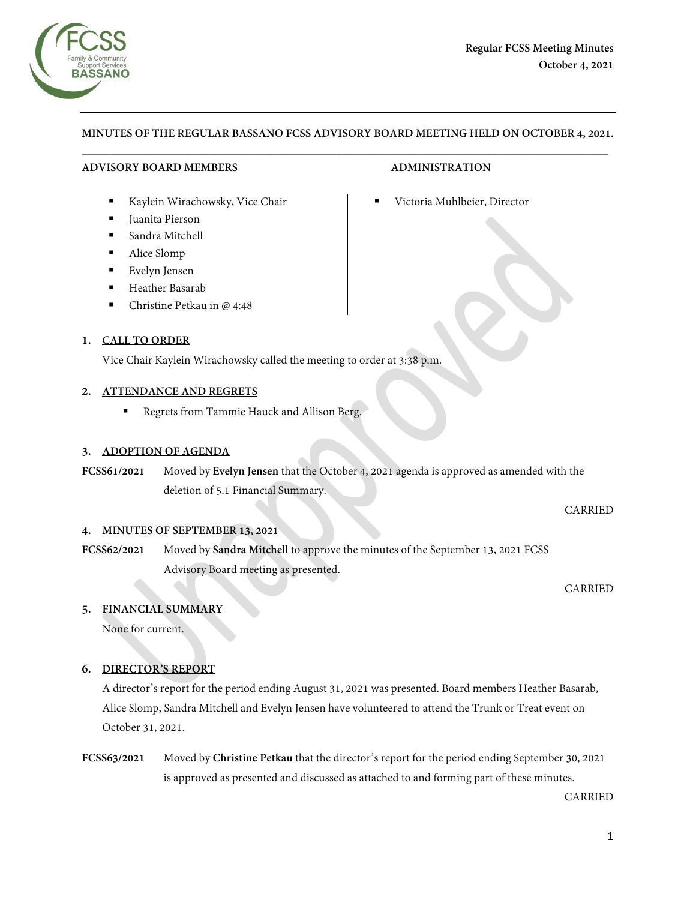

# **MINUTES OF THE REGULAR BASSANO FCSS ADVISORY BOARD MEETING HELD ON OCTOBER 4, 2021.**  $\overline{\phantom{a}}$  , and the contribution of the contribution of the contribution of the contribution of the contribution of the contribution of the contribution of the contribution of the contribution of the contribution of the

## **ADVISORY BOARD MEMBERS ADMINISTRATION**

- Kaylein Wirachowsky, Vice Chair **Interpretering Contains Containery** Victoria Muhlbeier, Director
- Juanita Pierson
- Sandra Mitchell
- Alice Slomp
- Evelyn Jensen
- Heather Basarab
- Christine Petkau in @ 4:48

## **1. CALL TO ORDER**

Vice Chair Kaylein Wirachowsky called the meeting to order at 3:38 p.m.

## **2. ATTENDANCE AND REGRETS**

Regrets from Tammie Hauck and Allison Berg.

## **3. ADOPTION OF AGENDA**

**FCSS61/2021** Moved by **Evelyn Jensen** that the October 4, 2021 agenda is approved as amended with the deletion of 5.1 Financial Summary.

CARRIED

## **4. MINUTES OF SEPTEMBER 13, 2021**

**FCSS62/2021** Moved by **Sandra Mitchell** to approve the minutes of the September 13, 2021 FCSS Advisory Board meeting as presented.

CARRIED

## **5. FINANCIAL SUMMARY**

None for current.

## **6. DIRECTOR'S REPORT**

A director's report for the period ending August 31, 2021 was presented. Board members Heather Basarab, Alice Slomp, Sandra Mitchell and Evelyn Jensen have volunteered to attend the Trunk or Treat event on October 31, 2021.

**FCSS63/2021** Moved by **Christine Petkau** that the director's report for the period ending September 30, 2021 is approved as presented and discussed as attached to and forming part of these minutes.

CARRIED